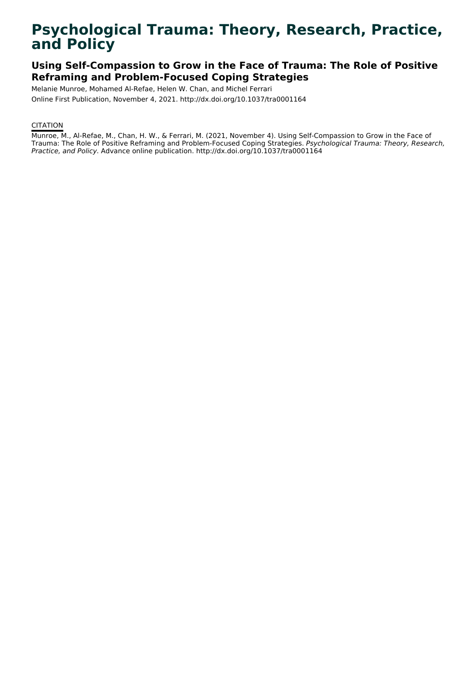# **Psychological Trauma: Theory, Research, Practice, and Policy**

# **Using Self-Compassion to Grow in the Face of Trauma: The Role of Positive Reframing and Problem-Focused Coping Strategies**

Melanie Munroe, Mohamed Al-Refae, Helen W. Chan, and Michel Ferrari Online First Publication, November 4, 2021. http://dx.doi.org/10.1037/tra0001164

# **CITATION**

Munroe, M., Al-Refae, M., Chan, H. W., & Ferrari, M. (2021, November 4). Using Self-Compassion to Grow in the Face of Trauma: The Role of Positive Reframing and Problem-Focused Coping Strategies. Psychological Trauma: Theory, Research, Practice, and Policy. Advance online publication. http://dx.doi.org/10.1037/tra0001164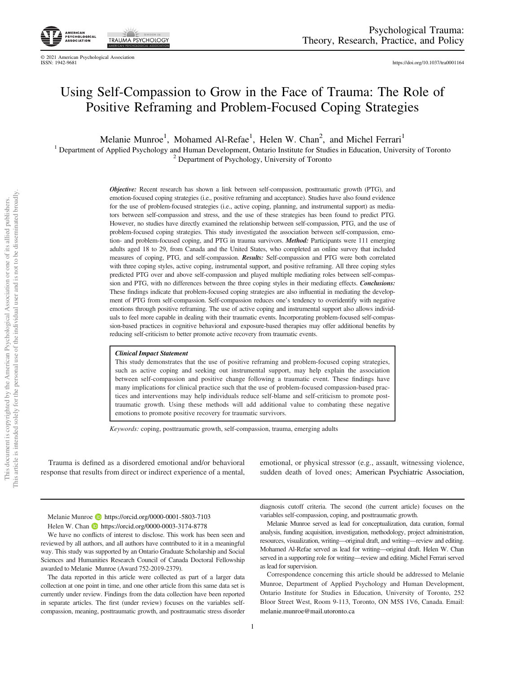

© 2021 American Psychological Association ISSN: 1942-9681 <https://doi.org/10.1037/tra0001164>

# Using Self-Compassion to Grow in the Face of Trauma: The Role of Positive Reframing and Problem-Focused Coping Strategies

Melanie Munroe<sup>1</sup>, Mohamed Al-Refae<sup>1</sup>, Helen W. Chan<sup>2</sup>, and Michel Ferrari<sup>1</sup>

<sup>1</sup> Department of Applied Psychology and Human Development, Ontario Institute for Studies in Education, University of Toronto  $2$  Department of Psychology, University of Toronto

Objective: Recent research has shown a link between self-compassion, posttraumatic growth (PTG), and emotion-focused coping strategies (i.e., positive reframing and acceptance). Studies have also found evidence for the use of problem-focused strategies (i.e., active coping, planning, and instrumental support) as mediators between self-compassion and stress, and the use of these strategies has been found to predict PTG. However, no studies have directly examined the relationship between self-compassion, PTG, and the use of problem-focused coping strategies. This study investigated the association between self-compassion, emotion- and problem-focused coping, and PTG in trauma survivors. *Method*: Participants were 111 emerging adults aged 18 to 29, from Canada and the United States, who completed an online survey that included measures of coping, PTG, and self-compassion. Results: Self-compassion and PTG were both correlated with three coping styles, active coping, instrumental support, and positive reframing. All three coping styles predicted PTG over and above self-compassion and played multiple mediating roles between self-compassion and PTG, with no differences between the three coping styles in their mediating effects. Conclusions: These findings indicate that problem-focused coping strategies are also influential in mediating the development of PTG from self-compassion. Self-compassion reduces one's tendency to overidentify with negative emotions through positive reframing. The use of active coping and instrumental support also allows individuals to feel more capable in dealing with their traumatic events. Incorporating problem-focused self-compassion-based practices in cognitive behavioral and exposure-based therapies may offer additional benefits by reducing self-criticism to better promote active recovery from traumatic events.

#### Clinical Impact Statement

This study demonstrates that the use of positive reframing and problem-focused coping strategies, such as active coping and seeking out instrumental support, may help explain the association between self-compassion and positive change following a traumatic event. These findings have many implications for clinical practice such that the use of problem-focused compassion-based practices and interventions may help individuals reduce self-blame and self-criticism to promote posttraumatic growth. Using these methods will add additional value to combating these negative emotions to promote positive recovery for traumatic survivors.

Keywords: coping, posttraumatic growth, self-compassion, trauma, emerging adults

Trauma is defined as a disordered emotional and/or behavioral response that results from direct or indirect experience of a mental, emotional, or physical stressor (e.g., assault, witnessing violence, sudden death of loved ones; American Psychiatric Association,

Melanie Munroe D<https://orcid.org/0000-0001-5803-7103> Helen W. Chan **b** <https://orcid.org/0000-0003-3174-8778>

We have no conflicts of interest to disclose. This work has been seen and reviewed by all authors, and all authors have contributed to it in a meaningful way. This study was supported by an Ontario Graduate Scholarship and Social Sciences and Humanities Research Council of Canada Doctoral Fellowship awarded to Melanie Munroe (Award 752-2019-2379).

The data reported in this article were collected as part of a larger data collection at one point in time, and one other article from this same data set is currently under review. Findings from the data collection have been reported in separate articles. The first (under review) focuses on the variables selfcompassion, meaning, posttraumatic growth, and posttraumatic stress disorder diagnosis cutoff criteria. The second (the current article) focuses on the variables self-compassion, coping, and posttraumatic growth.

Melanie Munroe served as lead for conceptualization, data curation, formal analysis, funding acquisition, investigation, methodology, project administration, resources, visualization, writing—original draft, and writing—review and editing. Mohamed Al-Refae served as lead for writing—original draft. Helen W. Chan served in a supporting role for writing—review and editing. Michel Ferrari served as lead for supervision.

Correspondence concerning this article should be addressed to Melanie Munroe, Department of Applied Psychology and Human Development, Ontario Institute for Studies in Education, University of Toronto, 252 Bloor Street West, Room 9-113, Toronto, ON M5S 1V6, Canada. Email: [melanie.munroe@mail.utoronto.ca](mailto:melanie.munroe@mail.utoronto.ca)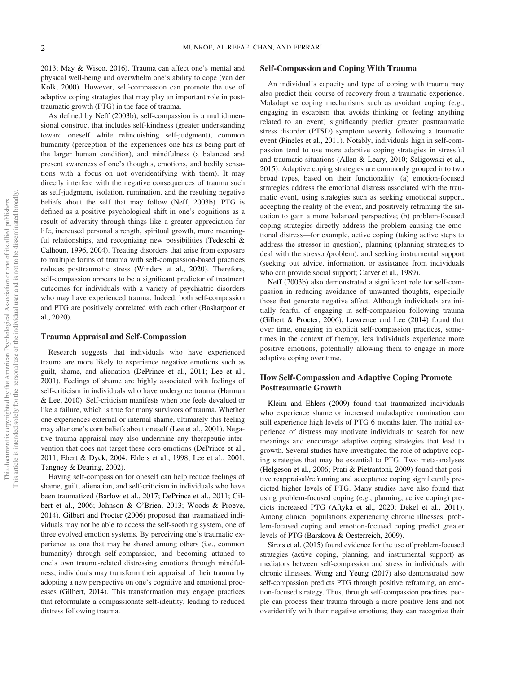2013; May & Wisco, 2016). Trauma can affect one's mental and physical well-being and overwhelm one's ability to cope (van der Kolk, 2000). However, self-compassion can promote the use of adaptive coping strategies that may play an important role in posttraumatic growth (PTG) in the face of trauma.

As defined by Neff (2003b), self-compassion is a multidimensional construct that includes self-kindness (greater understanding toward oneself while relinquishing self-judgment), common humanity (perception of the experiences one has as being part of the larger human condition), and mindfulness (a balanced and present awareness of one's thoughts, emotions, and bodily sensations with a focus on not overidentifying with them). It may directly interfere with the negative consequences of trauma such as self-judgment, isolation, rumination, and the resulting negative beliefs about the self that may follow (Neff, 2003b). PTG is defined as a positive psychological shift in one's cognitions as a result of adversity through things like a greater appreciation for life, increased personal strength, spiritual growth, more meaningful relationships, and recognizing new possibilities (Tedeschi & Calhoun, 1996, 2004). Treating disorders that arise from exposure to multiple forms of trauma with self-compassion-based practices reduces posttraumatic stress (Winders et al., 2020). Therefore, self-compassion appears to be a significant predictor of treatment outcomes for individuals with a variety of psychiatric disorders who may have experienced trauma. Indeed, both self-compassion and PTG are positively correlated with each other (Basharpoor et al., 2020).

## Trauma Appraisal and Self-Compassion

Research suggests that individuals who have experienced trauma are more likely to experience negative emotions such as guilt, shame, and alienation (DePrince et al., 2011; Lee et al., 2001). Feelings of shame are highly associated with feelings of self-criticism in individuals who have undergone trauma (Harman & Lee, 2010). Self-criticism manifests when one feels devalued or like a failure, which is true for many survivors of trauma. Whether one experiences external or internal shame, ultimately this feeling may alter one's core beliefs about oneself (Lee et al., 2001). Negative trauma appraisal may also undermine any therapeutic intervention that does not target these core emotions (DePrince et al., 2011; Ebert & Dyck, 2004; Ehlers et al., 1998; Lee et al., 2001; Tangney & Dearing, 2002).

Having self-compassion for oneself can help reduce feelings of shame, guilt, alienation, and self-criticism in individuals who have been traumatized (Barlow et al., 2017; DePrince et al., 2011; Gilbert et al., 2006; Johnson & O'Brien, 2013; Woods & Proeve, 2014). Gilbert and Procter (2006) proposed that traumatized individuals may not be able to access the self-soothing system, one of three evolved emotion systems. By perceiving one's traumatic experience as one that may be shared among others (i.e., common humanity) through self-compassion, and becoming attuned to one's own trauma-related distressing emotions through mindfulness, individuals may transform their appraisal of their trauma by adopting a new perspective on one's cognitive and emotional processes (Gilbert, 2014). This transformation may engage practices that reformulate a compassionate self-identity, leading to reduced distress following trauma.

#### Self-Compassion and Coping With Trauma

An individual's capacity and type of coping with trauma may also predict their course of recovery from a traumatic experience. Maladaptive coping mechanisms such as avoidant coping (e.g., engaging in escapism that avoids thinking or feeling anything related to an event) significantly predict greater posttraumatic stress disorder (PTSD) symptom severity following a traumatic event (Pineles et al., 2011). Notably, individuals high in self-compassion tend to use more adaptive coping strategies in stressful and traumatic situations (Allen & Leary, 2010; Seligowski et al., 2015). Adaptive coping strategies are commonly grouped into two broad types, based on their functionality: (a) emotion-focused strategies address the emotional distress associated with the traumatic event, using strategies such as seeking emotional support, accepting the reality of the event, and positively reframing the situation to gain a more balanced perspective; (b) problem-focused coping strategies directly address the problem causing the emotional distress—for example, active coping (taking active steps to address the stressor in question), planning (planning strategies to deal with the stressor/problem), and seeking instrumental support (seeking out advice, information, or assistance from individuals who can provide social support; Carver et al., 1989).

Neff (2003b) also demonstrated a significant role for self-compassion in reducing avoidance of unwanted thoughts, especially those that generate negative affect. Although individuals are initially fearful of engaging in self-compassion following trauma (Gilbert & Procter, 2006), Lawrence and Lee (2014) found that over time, engaging in explicit self-compassion practices, sometimes in the context of therapy, lets individuals experience more positive emotions, potentially allowing them to engage in more adaptive coping over time.

## How Self-Compassion and Adaptive Coping Promote Posttraumatic Growth

Kleim and Ehlers (2009) found that traumatized individuals who experience shame or increased maladaptive rumination can still experience high levels of PTG 6 months later. The initial experience of distress may motivate individuals to search for new meanings and encourage adaptive coping strategies that lead to growth. Several studies have investigated the role of adaptive coping strategies that may be essential to PTG. Two meta-analyses (Helgeson et al., 2006; Prati & Pietrantoni, 2009) found that positive reappraisal/reframing and acceptance coping significantly predicted higher levels of PTG. Many studies have also found that using problem-focused coping (e.g., planning, active coping) predicts increased PTG (Aftyka et al., 2020; Dekel et al., 2011). Among clinical populations experiencing chronic illnesses, problem-focused coping and emotion-focused coping predict greater levels of PTG (Barskova & Oesterreich, 2009).

Sirois et al. (2015) found evidence for the use of problem-focused strategies (active coping, planning, and instrumental support) as mediators between self-compassion and stress in individuals with chronic illnesses. Wong and Yeung (2017) also demonstrated how self-compassion predicts PTG through positive reframing, an emotion-focused strategy. Thus, through self-compassion practices, people can process their trauma through a more positive lens and not overidentify with their negative emotions; they can recognize their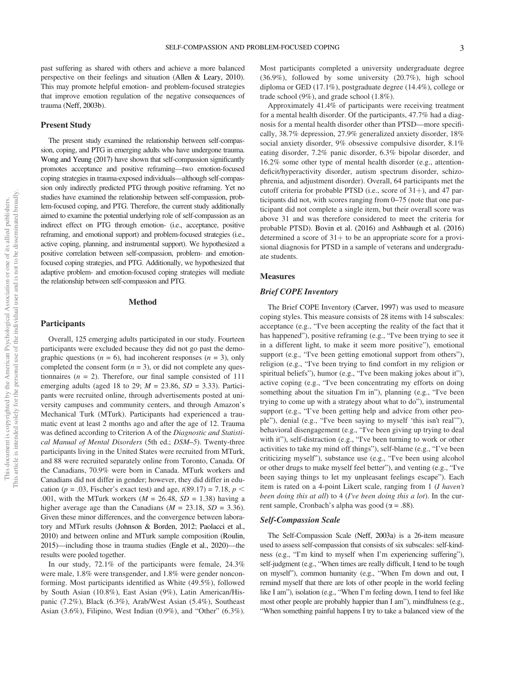past suffering as shared with others and achieve a more balanced perspective on their feelings and situation (Allen & Leary, 2010). This may promote helpful emotion- and problem-focused strategies that improve emotion regulation of the negative consequences of trauma (Neff, 2003b).

#### Present Study

The present study examined the relationship between self-compassion, coping, and PTG in emerging adults who have undergone trauma. Wong and Yeung (2017) have shown that self-compassion significantly promotes acceptance and positive reframing—two emotion-focused coping strategies in trauma-exposed individuals—although self-compassion only indirectly predicted PTG through positive reframing. Yet no studies have examined the relationship between self-compassion, problem-focused coping, and PTG. Therefore, the current study additionally aimed to examine the potential underlying role of self-compassion as an indirect effect on PTG through emotion- (i.e., acceptance, positive reframing, and emotional support) and problem-focused strategies (i.e., active coping, planning, and instrumental support). We hypothesized a positive correlation between self-compassion, problem- and emotionfocused coping strategies, and PTG. Additionally, we hypothesized that adaptive problem- and emotion-focused coping strategies will mediate the relationship between self-compassion and PTG.

#### Method

#### Participants

Overall, 125 emerging adults participated in our study. Fourteen participants were excluded because they did not go past the demographic questions ( $n = 6$ ), had incoherent responses ( $n = 3$ ), only completed the consent form  $(n = 3)$ , or did not complete any questionnaires ( $n = 2$ ). Therefore, our final sample consisted of 111 emerging adults (aged 18 to 29;  $M = 23.86$ ,  $SD = 3.33$ ). Participants were recruited online, through advertisements posted at university campuses and community centers, and through Amazon's Mechanical Turk (MTurk). Participants had experienced a traumatic event at least 2 months ago and after the age of 12. Trauma was defined according to Criterion A of the Diagnostic and Statistical Manual of Mental Disorders (5th ed.; DSM–5). Twenty-three participants living in the United States were recruited from MTurk, and 88 were recruited separately online from Toronto, Canada. Of the Canadians, 70.9% were born in Canada. MTurk workers and Canadians did not differ in gender; however, they did differ in education ( $p = .03$ , Fischer's exact test) and age,  $t(89.17) = 7.18$ ,  $p <$ .001, with the MTurk workers ( $M = 26.48$ ,  $SD = 1.38$ ) having a higher average age than the Canadians ( $M = 23.18$ ,  $SD = 3.36$ ). Given these minor differences, and the convergence between laboratory and MTurk results (Johnson & Borden, 2012; Paolacci et al., 2010) and between online and MTurk sample composition (Roulin, 2015)—including those in trauma studies (Engle et al., 2020)—the results were pooled together.

In our study, 72.1% of the participants were female, 24.3% were male, 1.8% were transgender, and 1.8% were gender nonconforming. Most participants identified as White (49.5%), followed by South Asian (10.8%), East Asian (9%), Latin American/Hispanic (7.2%), Black (6.3%), Arab/West Asian (5.4%), Southeast Asian (3.6%), Filipino, West Indian (0.9%), and "Other" (6.3%).

Most participants completed a university undergraduate degree (36.9%), followed by some university (20.7%), high school diploma or GED (17.1%), postgraduate degree (14.4%), college or trade school (9%), and grade school (1.8%).

Approximately 41.4% of participants were receiving treatment for a mental health disorder. Of the participants, 47.7% had a diagnosis for a mental health disorder other than PTSD—more specifically, 38.7% depression, 27.9% generalized anxiety disorder, 18% social anxiety disorder, 9% obsessive compulsive disorder, 8.1% eating disorder, 7.2% panic disorder, 6.3% bipolar disorder, and 16.2% some other type of mental health disorder (e.g., attentiondeficit/hyperactivity disorder, autism spectrum disorder, schizophrenia, and adjustment disorder). Overall, 64 participants met the cutoff criteria for probable PTSD (i.e., score of  $31+$ ), and 47 participants did not, with scores ranging from 0–75 (note that one participant did not complete a single item, but their overall score was above 31 and was therefore considered to meet the criteria for probable PTSD). Bovin et al. (2016) and Ashbaugh et al. (2016) determined a score of  $31+$  to be an appropriate score for a provisional diagnosis for PTSD in a sample of veterans and undergraduate students.

## **Measures**

#### Brief COPE Inventory

The Brief COPE Inventory (Carver, 1997) was used to measure coping styles. This measure consists of 28 items with 14 subscales: acceptance (e.g., "I've been accepting the reality of the fact that it has happened"), positive reframing (e.g., "I've been trying to see it in a different light, to make it seem more positive"), emotional support (e.g., "I've been getting emotional support from others"), religion (e.g., "I've been trying to find comfort in my religion or spiritual beliefs"), humor (e.g., "I've been making jokes about it"), active coping (e.g., "I've been concentrating my efforts on doing something about the situation I'm in"), planning (e.g., "I've been trying to come up with a strategy about what to do"), instrumental support (e.g., "I've been getting help and advice from other people"), denial (e.g., "I've been saying to myself 'this isn't real'"), behavioral disengagement (e.g., "I've been giving up trying to deal with it"), self-distraction (e.g., "I've been turning to work or other activities to take my mind off things"), self-blame (e.g., "I've been criticizing myself"), substance use (e.g., "I've been using alcohol or other drugs to make myself feel better"), and venting (e.g., "I've been saying things to let my unpleasant feelings escape"). Each item is rated on a 4-point Likert scale, ranging from 1 (I haven't been doing this at all) to 4 (I've been doing this a lot). In the current sample, Cronbach's alpha was good ( $\alpha = .88$ ).

#### Self-Compassion Scale

The Self-Compassion Scale (Neff, 2003a) is a 26-item measure used to assess self-compassion that consists of six subscales: self-kindness (e.g., "I'm kind to myself when I'm experiencing suffering"), self-judgment (e.g., "When times are really difficult, I tend to be tough on myself"), common humanity (e.g., "When I'm down and out, I remind myself that there are lots of other people in the world feeling like I am"), isolation (e.g., "When I'm feeling down, I tend to feel like most other people are probably happier than I am"), mindfulness (e.g., "When something painful happens I try to take a balanced view of the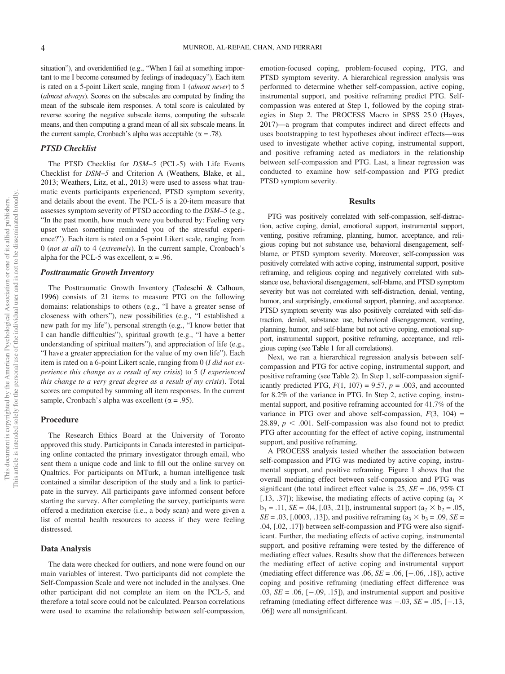situation"), and overidentified (e.g., "When I fail at something important to me I become consumed by feelings of inadequacy"). Each item is rated on a 5-point Likert scale, ranging from 1 (almost never) to 5 (almost always). Scores on the subscales are computed by finding the mean of the subscale item responses. A total score is calculated by reverse scoring the negative subscale items, computing the subscale means, and then computing a grand mean of all six subscale means. In the current sample, Cronbach's alpha was acceptable ( $\alpha = .78$ ).

#### PTSD Checklist

The PTSD Checklist for DSM–5 (PCL-5) with Life Events Checklist for DSM–5 and Criterion A (Weathers, Blake, et al., 2013; Weathers, Litz, et al., 2013) were used to assess what traumatic events participants experienced, PTSD symptom severity, and details about the event. The PCL-5 is a 20-item measure that assesses symptom severity of PTSD according to the DSM–5 (e.g., "In the past month, how much were you bothered by: Feeling very upset when something reminded you of the stressful experience?"). Each item is rated on a 5-point Likert scale, ranging from 0 (not at all) to 4 (extremely). In the current sample, Cronbach's alpha for the PCL-5 was excellent,  $\alpha = .96$ .

#### Posttraumatic Growth Inventory

The Posttraumatic Growth Inventory (Tedeschi & Calhoun, 1996) consists of 21 items to measure PTG on the following domains: relationships to others (e.g., "I have a greater sense of closeness with others"), new possibilities (e.g., "I established a new path for my life"), personal strength (e.g., "I know better that I can handle difficulties"), spiritual growth (e.g., "I have a better understanding of spiritual matters"), and appreciation of life (e.g., "I have a greater appreciation for the value of my own life"). Each item is rated on a 6-point Likert scale, ranging from 0 (I did not experience this change as a result of my crisis) to 5 (I experienced this change to a very great degree as a result of my crisis). Total scores are computed by summing all item responses. In the current sample, Cronbach's alpha was excellent ( $\alpha$  = .95).

#### Procedure

The Research Ethics Board at the University of Toronto approved this study. Participants in Canada interested in participating online contacted the primary investigator through email, who sent them a unique code and link to fill out the online survey on Qualtrics. For participants on MTurk, a human intelligence task contained a similar description of the study and a link to participate in the survey. All participants gave informed consent before starting the survey. After completing the survey, participants were offered a meditation exercise (i.e., a body scan) and were given a list of mental health resources to access if they were feeling distressed.

#### Data Analysis

The data were checked for outliers, and none were found on our main variables of interest. Two participants did not complete the Self-Compassion Scale and were not included in the analyses. One other participant did not complete an item on the PCL-5, and therefore a total score could not be calculated. Pearson correlations were used to examine the relationship between self-compassion, emotion-focused coping, problem-focused coping, PTG, and PTSD symptom severity. A hierarchical regression analysis was performed to determine whether self-compassion, active coping, instrumental support, and positive reframing predict PTG. Selfcompassion was entered at Step 1, followed by the coping strategies in Step 2. The PROCESS Macro in SPSS 25.0 (Hayes, 2017)—a program that computes indirect and direct effects and uses bootstrapping to test hypotheses about indirect effects—was used to investigate whether active coping, instrumental support, and positive reframing acted as mediators in the relationship between self-compassion and PTG. Last, a linear regression was conducted to examine how self-compassion and PTG predict PTSD symptom severity.

#### Results

PTG was positively correlated with self-compassion, self-distraction, active coping, denial, emotional support, instrumental support, venting, positive reframing, planning, humor, acceptance, and religious coping but not substance use, behavioral disengagement, selfblame, or PTSD symptom severity. Moreover, self-compassion was positively correlated with active coping, instrumental support, positive reframing, and religious coping and negatively correlated with substance use, behavioral disengagement, self-blame, and PTSD symptom severity but was not correlated with self-distraction, denial, venting, humor, and surprisingly, emotional support, planning, and acceptance. PTSD symptom severity was also positively correlated with self-distraction, denial, substance use, behavioral disengagement, venting, planning, humor, and self-blame but not active coping, emotional support, instrumental support, positive reframing, acceptance, and religious coping (see Table 1 for all correlations).

Next, we ran a hierarchical regression analysis between selfcompassion and PTG for active coping, instrumental support, and positive reframing (see [Table 2\)](#page-6-0). In Step 1, self-compassion significantly predicted PTG,  $F(1, 107) = 9.57$ ,  $p = .003$ , and accounted for 8.2% of the variance in PTG. In Step 2, active coping, instrumental support, and positive reframing accounted for 41.7% of the variance in PTG over and above self-compassion,  $F(3, 104) =$ 28.89,  $p < .001$ . Self-compassion was also found not to predict PTG after accounting for the effect of active coping, instrumental support, and positive reframing.

A PROCESS analysis tested whether the association between self-compassion and PTG was mediated by active coping, instrumental support, and positive reframing. Figure 1 shows that the overall mediating effect between self-compassion and PTG was significant (the total indirect effect value is .25,  $SE = .06$ , 95% CI [.13, .37]); likewise, the mediating effects of active coping ( $a_1 \times a_2$ )  $b_1 = .11$ ,  $SE = .04$ , [.03, .21]), instrumental support ( $a_2 \times b_2 = .05$ ,  $SE = .03$ , [.0003, .13]), and positive reframing ( $a_3 \times b_3 = .09$ ,  $SE =$ .04, [.02, .17]) between self-compassion and PTG were also significant. Further, the mediating effects of active coping, instrumental support, and positive reframing were tested by the difference of mediating effect values. Results show that the differences between the mediating effect of active coping and instrumental support (mediating effect difference was .06,  $SE = .06$ ,  $[-.06, .18]$ ), active coping and positive reframing (mediating effect difference was  $.03$ ,  $SE = .06$ ,  $[-.09, .15]$ ), and instrumental support and positive reframing (mediating effect difference was  $-.03$ ,  $SE = .05$ ,  $[-.13,$ .06]) were all nonsignificant.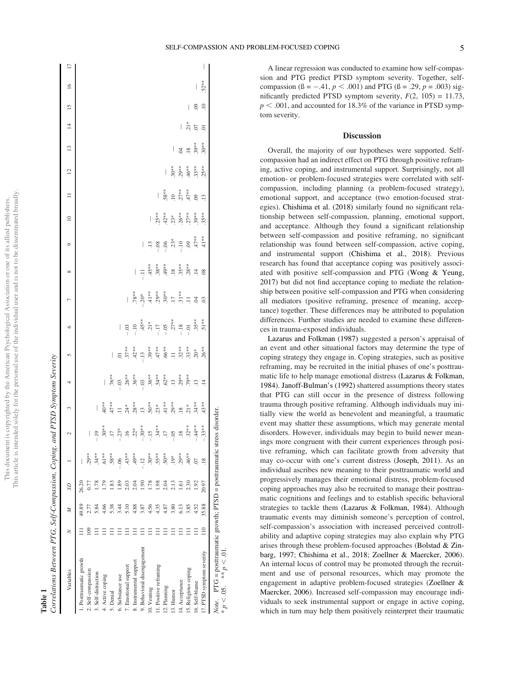# Table 1

Correlations Between PTG, Self-Compassion, Coping, and PTSD Symptom Severity Correlations Between PTG, Self-Compassion, Coping, and PTSD Symptom Severity

| Variables                                                                     | z              |                | SD             |         | N       |                                                                                                                                                                                                                                                                                                                                                                                                          | 4                                                                                                                                                                                                                                                                                                                                                |         | $\circ$                                                                                                                                        | $\overline{a}$                                                                                                                                                                                                                                                                                                                    | ∞ | $\circ$                                                                                                                                                                             | $\approx$ | $\equiv$                                  | $\overline{c}$ | $\frac{13}{2}$                                  | $\overline{4}$                                                                      | $\overline{15}$ | $\overline{17}$<br>$\overline{16}$ |
|-------------------------------------------------------------------------------|----------------|----------------|----------------|---------|---------|----------------------------------------------------------------------------------------------------------------------------------------------------------------------------------------------------------------------------------------------------------------------------------------------------------------------------------------------------------------------------------------------------------|--------------------------------------------------------------------------------------------------------------------------------------------------------------------------------------------------------------------------------------------------------------------------------------------------------------------------------------------------|---------|------------------------------------------------------------------------------------------------------------------------------------------------|-----------------------------------------------------------------------------------------------------------------------------------------------------------------------------------------------------------------------------------------------------------------------------------------------------------------------------------|---|-------------------------------------------------------------------------------------------------------------------------------------------------------------------------------------|-----------|-------------------------------------------|----------------|-------------------------------------------------|-------------------------------------------------------------------------------------|-----------------|------------------------------------|
| 1. Posttraumatic growth                                                       |                | 49.89          | 26.20          |         |         |                                                                                                                                                                                                                                                                                                                                                                                                          |                                                                                                                                                                                                                                                                                                                                                  |         |                                                                                                                                                |                                                                                                                                                                                                                                                                                                                                   |   |                                                                                                                                                                                     |           |                                           |                |                                                 |                                                                                     |                 |                                    |
| 2. Self-compassion                                                            |                | 2.77           |                | $.29**$ |         |                                                                                                                                                                                                                                                                                                                                                                                                          |                                                                                                                                                                                                                                                                                                                                                  |         |                                                                                                                                                |                                                                                                                                                                                                                                                                                                                                   |   |                                                                                                                                                                                     |           |                                           |                |                                                 |                                                                                     |                 |                                    |
| 3. Self-distraction                                                           |                | 5.84           |                | $34**$  |         |                                                                                                                                                                                                                                                                                                                                                                                                          |                                                                                                                                                                                                                                                                                                                                                  |         |                                                                                                                                                |                                                                                                                                                                                                                                                                                                                                   |   |                                                                                                                                                                                     |           |                                           |                |                                                 |                                                                                     |                 |                                    |
| 4. Active coping                                                              |                | 4.66           |                | $.61**$ |         |                                                                                                                                                                                                                                                                                                                                                                                                          |                                                                                                                                                                                                                                                                                                                                                  |         |                                                                                                                                                |                                                                                                                                                                                                                                                                                                                                   |   |                                                                                                                                                                                     |           |                                           |                |                                                 |                                                                                     |                 |                                    |
| 5. Denial                                                                     |                | 5.38           | .83            | $.58**$ |         |                                                                                                                                                                                                                                                                                                                                                                                                          |                                                                                                                                                                                                                                                                                                                                                  | $\vert$ |                                                                                                                                                |                                                                                                                                                                                                                                                                                                                                   |   |                                                                                                                                                                                     |           |                                           |                |                                                 |                                                                                     |                 |                                    |
| 6. Substance use                                                              |                | 3.44           | $\frac{89}{2}$ | $-0.06$ |         |                                                                                                                                                                                                                                                                                                                                                                                                          |                                                                                                                                                                                                                                                                                                                                                  |         |                                                                                                                                                |                                                                                                                                                                                                                                                                                                                                   |   |                                                                                                                                                                                     |           |                                           |                |                                                 |                                                                                     |                 |                                    |
| 7. Emotional support                                                          |                | $\frac{5}{10}$ | 2.03           | $43**$  |         | $\begin{matrix} 1 & \frac{3}{4} & \frac{3}{4} & \frac{3}{4} & \frac{3}{4} & \frac{3}{4} & \frac{3}{4} & \frac{3}{4} & \frac{3}{4} & \frac{3}{4} & \frac{3}{4} & \frac{3}{4} & \frac{3}{4} & \frac{3}{4} & \frac{3}{4} & \frac{3}{4} & \frac{3}{4} & \frac{3}{4} & \frac{3}{4} & \frac{3}{4} & \frac{3}{4} & \frac{3}{4} & \frac{3}{4} & \frac{3}{4} & \frac{3}{4} & \frac{3}{4} & \frac{3}{4} & \frac{3$ | $\begin{array}{r} 16.73 \\ -0.03 \\ -0.03 \\ -0.05 \\ -0.05 \\ -0.05 \\ -0.05 \\ -0.05 \\ -0.05 \\ -0.05 \\ -0.05 \\ -0.05 \\ -0.05 \\ -0.05 \\ -0.05 \\ -0.05 \\ -0.05 \\ -0.05 \\ -0.05 \\ -0.05 \\ -0.05 \\ -0.05 \\ -0.05 \\ -0.05 \\ -0.05 \\ -0.05 \\ -0.05 \\ -0.05 \\ -0.05 \\ -0.05 \\ -0.05 \\ -0.05 \\ -0.05 \\ -0.05 \\ -0.05 \\ -0$ |         | $-103$<br>$-104$<br>$-17$<br>$-17$<br>$-17$<br>$-18$<br>$-18$<br>$-18$<br>$-18$<br>$-18$<br>$-19$<br>$-19$<br>$-19$<br>$-19$<br>$-19$<br>$-19$ |                                                                                                                                                                                                                                                                                                                                   |   |                                                                                                                                                                                     |           |                                           |                |                                                 |                                                                                     |                 |                                    |
| 8. Instrumental support                                                       |                | 4.88           | 2.04           | $49**$  |         |                                                                                                                                                                                                                                                                                                                                                                                                          |                                                                                                                                                                                                                                                                                                                                                  |         |                                                                                                                                                |                                                                                                                                                                                                                                                                                                                                   |   |                                                                                                                                                                                     |           |                                           |                |                                                 |                                                                                     |                 |                                    |
| 9. Behavioral disengagement                                                   |                | 3.87           | $-90$          | $-12$   |         |                                                                                                                                                                                                                                                                                                                                                                                                          |                                                                                                                                                                                                                                                                                                                                                  |         |                                                                                                                                                |                                                                                                                                                                                                                                                                                                                                   |   |                                                                                                                                                                                     |           |                                           |                |                                                 |                                                                                     |                 |                                    |
| 10. Venting                                                                   |                | 4.56           | 1.78           | $30**$  |         |                                                                                                                                                                                                                                                                                                                                                                                                          |                                                                                                                                                                                                                                                                                                                                                  |         |                                                                                                                                                |                                                                                                                                                                                                                                                                                                                                   |   |                                                                                                                                                                                     | I         |                                           |                |                                                 |                                                                                     |                 |                                    |
| 11. Positive reframing                                                        |                | 4.35           | 1.98           | $.55**$ |         |                                                                                                                                                                                                                                                                                                                                                                                                          |                                                                                                                                                                                                                                                                                                                                                  |         |                                                                                                                                                |                                                                                                                                                                                                                                                                                                                                   |   |                                                                                                                                                                                     |           |                                           |                |                                                 |                                                                                     |                 |                                    |
| 12. Planning                                                                  |                | 4.87           | 2.04           | $50**$  |         |                                                                                                                                                                                                                                                                                                                                                                                                          |                                                                                                                                                                                                                                                                                                                                                  |         |                                                                                                                                                | $\begin{array}{r} 1.78 \div 1.78 \div 1.78 \div 1.78 \div 1.78 \div 1.78 \div 1.78 \div 1.78 \div 1.78 \div 1.78 \div 1.78 \div 1.78 \div 1.78 \div 1.78 \div 1.78 \div 1.78 \div 1.78 \div 1.78 \div 1.78 \div 1.78 \div 1.78 \div 1.78 \div 1.78 \div 1.78 \div 1.78 \div 1.78 \div 1.78 \div 1.78 \div 1.78 \div 1.78 \div 1.$ |   | $\begin{array}{cccccc}\n 13 & 8 & 8 & 8 & 12 & 12 & 13 & 14 \\  - & 1 & 1 & 1 & 1 & 1 & 14 & 15 \\  - & 1 & 1 & 1 & 1 & 1 & 14 & 15 \\  & 1 & 1 & 1 & 1 & 1 & 14 & 15\n\end{array}$ |           |                                           |                |                                                 |                                                                                     |                 |                                    |
| 13. Hunor                                                                     |                | 3.80           | 2.13           | $.19*$  |         |                                                                                                                                                                                                                                                                                                                                                                                                          |                                                                                                                                                                                                                                                                                                                                                  |         |                                                                                                                                                |                                                                                                                                                                                                                                                                                                                                   |   |                                                                                                                                                                                     |           |                                           |                | I                                               |                                                                                     |                 |                                    |
| 14. Acceptance                                                                |                | 6.13           | <u>آي</u>      | $.29**$ |         |                                                                                                                                                                                                                                                                                                                                                                                                          |                                                                                                                                                                                                                                                                                                                                                  |         |                                                                                                                                                |                                                                                                                                                                                                                                                                                                                                   |   |                                                                                                                                                                                     |           | $58*$<br>$55*$<br>$55*$<br>$55*$<br>$55*$ |                |                                                 |                                                                                     |                 |                                    |
| 15. Religious coping                                                          |                | 3.85           | 2.30           | $46**$  |         |                                                                                                                                                                                                                                                                                                                                                                                                          |                                                                                                                                                                                                                                                                                                                                                  |         |                                                                                                                                                |                                                                                                                                                                                                                                                                                                                                   |   |                                                                                                                                                                                     |           |                                           |                | $\ddot{a}$ = $\ddot{a}$ $\ddot{b}$ = $\ddot{b}$ | $\frac{1}{2}$ $\frac{1}{2}$ $\frac{1}{2}$ $\frac{1}{2}$ $\frac{1}{2}$ $\frac{1}{2}$ | $\mid$          |                                    |
| 16. Self-blame                                                                |                | 4.52           | 1.92           | Ο.      |         |                                                                                                                                                                                                                                                                                                                                                                                                          |                                                                                                                                                                                                                                                                                                                                                  |         |                                                                                                                                                | $\begin{array}{c} 2 \ 0 \end{array}$                                                                                                                                                                                                                                                                                              |   |                                                                                                                                                                                     |           |                                           |                |                                                 |                                                                                     | 99              |                                    |
| 17. PTSD symptom severity                                                     | $\frac{10}{2}$ | 35.88          | 20.97          |         | $-33**$ |                                                                                                                                                                                                                                                                                                                                                                                                          |                                                                                                                                                                                                                                                                                                                                                  |         |                                                                                                                                                |                                                                                                                                                                                                                                                                                                                                   |   |                                                                                                                                                                                     |           | 13                                        |                |                                                 |                                                                                     |                 | $52***$                            |
| <i>Note.</i> PTG = posttraumatic growth, PTSD = posttraumatic stress disorder |                |                |                |         |         |                                                                                                                                                                                                                                                                                                                                                                                                          |                                                                                                                                                                                                                                                                                                                                                  |         |                                                                                                                                                |                                                                                                                                                                                                                                                                                                                                   |   |                                                                                                                                                                                     |           |                                           |                |                                                 |                                                                                     |                 |                                    |

\*

\*  $p < .05$ . \*\*  $p < .01$ .

 $p < 0.05$ . \*\*  $p < 0.01$ 

A linear regression was conducted to examine how self-compassion and PTG predict PTSD symptom severity. Together, selfcompassion ( $\beta = -.41, p < .001$ ) and PTG ( $\beta = .29, p = .003$ ) significantly predicted PTSD symptom severity,  $F(2, 105) = 11.73$ ,  $p < .001$ , and accounted for 18.3% of the variance in PTSD symptom severity.

## **Discussion**

Overall, the majority of our hypotheses were supported. Selfcompassion had an indirect effect on PTG through positive reframing, active coping, and instrumental support. Surprisingly, not all emotion- or problem-focused strategies were correlated with selfcompassion, including planning (a problem-focused strategy), emotional support, and acceptance (two emotion-focused strategies). Chishima et al. (2018) similarly found no significant relationship between self-compassion, planning, emotional support, and acceptance. Although they found a significant relationship between self-compassion and positive reframing, no significant relationship was found between self-compassion, active coping, and instrumental support (Chishima et al., 2018). Previous research has found that acceptance coping was positively associated with positive self-compassion and PTG (Wong & Yeung, 2017) but did not find acceptance coping to mediate the relationship between positive self-compassion and PTG when considering all mediators (positive reframing, presence of meaning, acceptance) together. These differences may be attributed to population differences. Further studies are needed to examine these differences in trauma-exposed individuals.

Lazarus and Folkman (1987) suggested a person's appraisal of an event and other situational factors may determine the type of coping strategy they engage in. Coping strategies, such as positive reframing, may be recruited in the initial phases of one's posttraumatic life to help manage emotional distress (Lazarus & Folkman, 1984). Janoff-Bulman's (1992) shattered assumptions theory states that PTG can still occur in the presence of distress following trauma through positive reframing. Although individuals may initially view the world as benevolent and meaningful, a traumatic event may shatter these assumptions, which may generate mental disorders. However, individuals may begin to build newer meanings more congruent with their current experiences through positive reframing, which can facilitate growth from adversity that may co-occur with one's current distress (Joseph, 2011). As an individual ascribes new meaning to their posttraumatic world and progressively manages their emotional distress, problem-focused coping approaches may also be recruited to manage their posttraumatic cognitions and feelings and to establish specific behavioral strategies to tackle them (Lazarus & Folkman, 1984). Although traumatic events may diminish someone's perception of control, self-compassion's association with increased perceived controllability and adaptive coping strategies may also explain why PTG arises through these problem-focused approaches (Bolstad & Zinbarg, 1997; Chishima et al., 2018; Zoellner & Maercker, 2006). An internal locus of control may be promoted through the recruitment and use of personal resources, which may promote the engagement in adaptive problem-focused strategies (Zoellner & Maercker, 2006). Increased self-compassion may encourage individuals to seek instrumental support or engage in active coping, which in turn may help them positively reinterpret their traumatic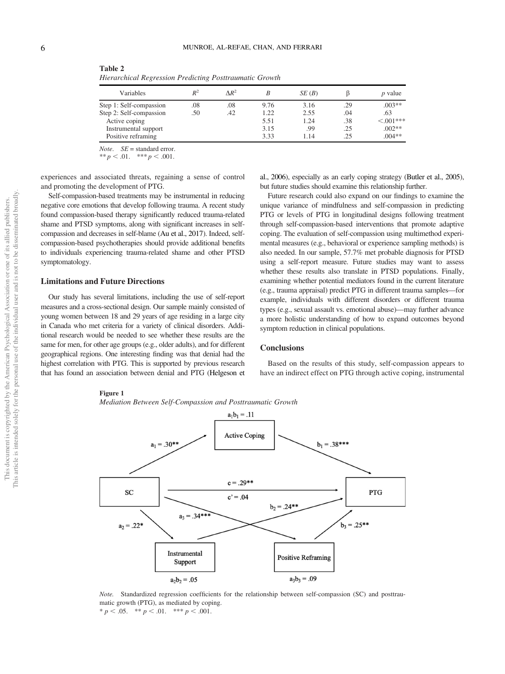| Variables               | $\mathbb{R}^2$ | $\Lambda R^2$ |      | SE(B) |     | <i>p</i> value |
|-------------------------|----------------|---------------|------|-------|-----|----------------|
| Step 1: Self-compassion | .08            | .08           | 9.76 | 3.16  | .29 | $.003**$       |
| Step 2: Self-compassion | .50            | .42           | 1.22 | 2.55  | .04 | .63            |
| Active coping           |                |               | 5.51 | 1.24  | .38 | $<.001***$     |
| Instrumental support    |                |               | 3.15 | .99   | .25 | $.002**$       |
| Positive reframing      |                |               | 3.33 | 1.14  | .25 | $.004**$       |

<span id="page-6-0"></span>Table 2 Hierarchical Regression Predicting Posttraumatic Growth

*Note.*  $SE =$  standard error.

\*\*  $p < .01.$  \*\*\*  $p < .001.$ 

experiences and associated threats, regaining a sense of control and promoting the development of PTG.

Self-compassion-based treatments may be instrumental in reducing negative core emotions that develop following trauma. A recent study found compassion-based therapy significantly reduced trauma-related shame and PTSD symptoms, along with significant increases in selfcompassion and decreases in self-blame (Au et al., 2017). Indeed, selfcompassion-based psychotherapies should provide additional benefits to individuals experiencing trauma-related shame and other PTSD symptomatology.

#### Limitations and Future Directions

Our study has several limitations, including the use of self-report measures and a cross-sectional design. Our sample mainly consisted of young women between 18 and 29 years of age residing in a large city in Canada who met criteria for a variety of clinical disorders. Additional research would be needed to see whether these results are the same for men, for other age groups (e.g., older adults), and for different geographical regions. One interesting finding was that denial had the highest correlation with PTG. This is supported by previous research that has found an association between denial and PTG (Helgeson et al., 2006), especially as an early coping strategy (Butler et al., 2005), but future studies should examine this relationship further.

Future research could also expand on our findings to examine the unique variance of mindfulness and self-compassion in predicting PTG or levels of PTG in longitudinal designs following treatment through self-compassion-based interventions that promote adaptive coping. The evaluation of self-compassion using multimethod experimental measures (e.g., behavioral or experience sampling methods) is also needed. In our sample, 57.7% met probable diagnosis for PTSD using a self-report measure. Future studies may want to assess whether these results also translate in PTSD populations. Finally, examining whether potential mediators found in the current literature (e.g., trauma appraisal) predict PTG in different trauma samples—for example, individuals with different disorders or different trauma types (e.g., sexual assault vs. emotional abuse)—may further advance a more holistic understanding of how to expand outcomes beyond symptom reduction in clinical populations.

#### **Conclusions**

Based on the results of this study, self-compassion appears to have an indirect effect on PTG through active coping, instrumental

#### Figure 1

Mediation Between Self-Compassion and Posttraumatic Growth



Note. Standardized regression coefficients for the relationship between self-compassion (SC) and posttraumatic growth (PTG), as mediated by coping. \*  $p < .05.$  \*\*  $p < .01.$  \*\*\*  $p < .001.$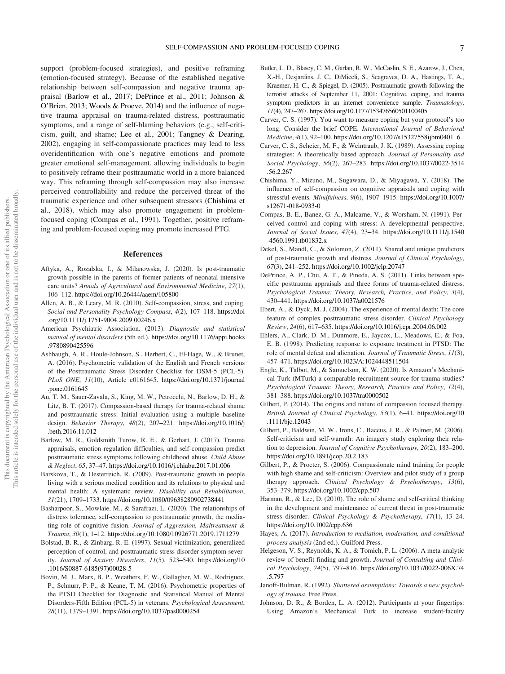support (problem-focused strategies), and positive reframing (emotion-focused strategy). Because of the established negative relationship between self-compassion and negative trauma appraisal (Barlow et al., 2017; DePrince et al., 2011; Johnson & O'Brien, 2013; Woods & Proeve, 2014) and the influence of negative trauma appraisal on trauma-related distress, posttraumatic symptoms, and a range of self-blaming behaviors (e.g., self-criticism, guilt, and shame; Lee et al., 2001; Tangney & Dearing, 2002), engaging in self-compassionate practices may lead to less overidentification with one's negative emotions and promote greater emotional self-management, allowing individuals to begin to positively reframe their posttraumatic world in a more balanced way. This reframing through self-compassion may also increase perceived controllability and reduce the perceived threat of the traumatic experience and other subsequent stressors (Chishima et al., 2018), which may also promote engagement in problemfocused coping (Compas et al., 1991). Together, positive reframing and problem-focused coping may promote increased PTG.

#### References

- Aftyka, A., Rozalska, I., & Milanowska, J. (2020). Is post-traumatic growth possible in the parents of former patients of neonatal intensive care units? Annals of Agricultural and Environmental Medicine, 27(1), 106–112. <https://doi.org/10.26444/aaem/105800>
- Allen, A. B., & Leary, M. R. (2010). Self-compassion, stress, and coping. Social and Personality Psychology Compass, 4(2), 107–118. [https://doi](https://doi.org/10.1111/j.1751-9004.2009.00246.x) [.org/10.1111/j.1751-9004.2009.00246.x](https://doi.org/10.1111/j.1751-9004.2009.00246.x)
- American Psychiatric Association. (2013). Diagnostic and statistical manual of mental disorders (5th ed.). [https://doi.org/10.1176/appi.books](https://doi.org/10.1176/appi.books.9780890425596) [.9780890425596](https://doi.org/10.1176/appi.books.9780890425596)
- Ashbaugh, A. R., Houle-Johnson, S., Herbert, C., El-Hage, W., & Brunet, A. (2016). Psychometric validation of the English and French versions of the Posttraumatic Stress Disorder Checklist for DSM-5 (PCL-5). PLoS ONE, 11(10), Article e0161645. [https://doi.org/10.1371/journal](https://doi.org/10.1371/journal.pone.0161645) [.pone.0161645](https://doi.org/10.1371/journal.pone.0161645)
- Au, T. M., Sauer-Zavala, S., King, M. W., Petrocchi, N., Barlow, D. H., & Litz, B. T. (2017). Compassion-based therapy for trauma-related shame and posttraumatic stress: Initial evaluation using a multiple baseline design. Behavior Therapy, 48(2), 207–221. [https://doi.org/10.1016/j](https://doi.org/10.1016/j.beth.2016.11.012) [.beth.2016.11.012](https://doi.org/10.1016/j.beth.2016.11.012)
- Barlow, M. R., Goldsmith Turow, R. E., & Gerhart, J. (2017). Trauma appraisals, emotion regulation difficulties, and self-compassion predict posttraumatic stress symptoms following childhood abuse. Child Abuse & Neglect, 65, 37–47. <https://doi.org/10.1016/j.chiabu.2017.01.006>
- Barskova, T., & Oesterreich, R. (2009). Post-traumatic growth in people living with a serious medical condition and its relations to physical and mental health: A systematic review. Disability and Rehabilitation, 31(21), 1709–1733. <https://doi.org/10.1080/09638280902738441>
- Basharpoor, S., Mowlaie, M., & Sarafrazi, L. (2020). The relationships of distress tolerance, self-compassion to posttraumatic growth, the mediating role of cognitive fusion. Journal of Aggression, Maltreatment & Trauma, 30(1), 1–12. <https://doi.org/10.1080/10926771.2019.1711279>
- Bolstad, B. R., & Zinbarg, R. E. (1997). Sexual victimization, generalized perception of control, and posttraumatic stress disorder symptom severity. Journal of Anxiety Disorders, 11(5), 523–540. [https://doi.org/10](https://doi.org/10.1016/S0887-6185(97)00028-5) [.1016/S0887-6185\(97\)00028-5](https://doi.org/10.1016/S0887-6185(97)00028-5)
- Bovin, M. J., Marx, B. P., Weathers, F. W., Gallagher, M. W., Rodriguez, P., Schnurr, P. P., & Keane, T. M. (2016). Psychometric properties of the PTSD Checklist for Diagnostic and Statistical Manual of Mental Disorders-Fifth Edition (PCL-5) in veterans. Psychological Assessment, 28(11), 1379–1391. <https://doi.org/10.1037/pas0000254>
- Butler, L. D., Blasey, C. M., Garlan, R. W., McCaslin, S. E., Azarow, J., Chen, X.-H., Desjardins, J. C., DiMiceli, S., Seagraves, D. A., Hastings, T. A., Kraemer, H. C., & Spiegel, D. (2005). Posttraumatic growth following the terrorist attacks of September 11, 2001: Cognitive, coping, and trauma symptom predictors in an internet convenience sample. Traumatology, 11(4), 247–267. <https://doi.org/10.1177/153476560501100405>
- Carver, C. S. (1997). You want to measure coping but your protocol's too long: Consider the brief COPE. International Journal of Behavioral Medicine, 4(1), 92–100. [https://doi.org/10.1207/s15327558ijbm0401\\_6](https://doi.org/10.1207/s15327558ijbm0401_6)
- Carver, C. S., Scheier, M. F., & Weintraub, J. K. (1989). Assessing coping strategies: A theoretically based approach. Journal of Personality and Social Psychology, 56(2), 267–283. [https://doi.org/10.1037/0022-3514](https://doi.org/10.1037/0022-3514.56.2.267) [.56.2.267](https://doi.org/10.1037/0022-3514.56.2.267)
- Chishima, Y., Mizuno, M., Sugawara, D., & Miyagawa, Y. (2018). The influence of self-compassion on cognitive appraisals and coping with stressful events. Mindfulness, 9(6), 1907–1915. [https://doi.org/10.1007/](https://doi.org/10.1007/s12671-018-0933-0) [s12671-018-0933-0](https://doi.org/10.1007/s12671-018-0933-0)
- Compas, B. E., Banez, G. A., Malcarne, V., & Worsham, N. (1991). Perceived control and coping with stress: A developmental perspective. Journal of Social Issues, 47(4), 23–34. [https://doi.org/10.1111/j.1540](https://doi.org/10.1111/j.1540-4560.1991.tb01832.x) [-4560.1991.tb01832.x](https://doi.org/10.1111/j.1540-4560.1991.tb01832.x)
- Dekel, S., Mandl, C., & Solomon, Z. (2011). Shared and unique predictors of post-traumatic growth and distress. Journal of Clinical Psychology, 67(3), 241–252. <https://doi.org/10.1002/jclp.20747>
- DePrince, A. P., Chu, A. T., & Pineda, A. S. (2011). Links between specific posttrauma appraisals and three forms of trauma-related distress. Psychological Trauma: Theory, Research, Practice, and Policy, 3(4), 430–441. <https://doi.org/10.1037/a0021576>
- Ebert, A., & Dyck, M. J. (2004). The experience of mental death: The core feature of complex posttraumatic stress disorder. Clinical Psychology Review, 24(6), 617–635. <https://doi.org/10.1016/j.cpr.2004.06.002>
- Ehlers, A., Clark, D. M., Dunmore, E., Jaycox, L., Meadows, E., & Foa, E. B. (1998). Predicting response to exposure treatment in PTSD: The role of mental defeat and alienation. Journal of Traumatic Stress, 11(3), 457–471. <https://doi.org/10.1023/A:1024448511504>
- Engle, K., Talbot, M., & Samuelson, K. W. (2020). Is Amazon's Mechanical Turk (MTurk) a comparable recruitment source for trauma studies? Psychological Trauma: Theory, Research, Practice and Policy, 12(4), 381–388. <https://doi.org/10.1037/tra0000502>
- Gilbert, P. (2014). The origins and nature of compassion focused therapy. British Journal of Clinical Psychology, 53(1), 6–41. [https://doi.org/10](https://doi.org/10.1111/bjc.12043) [.1111/bjc.12043](https://doi.org/10.1111/bjc.12043)
- Gilbert, P., Baldwin, M. W., Irons, C., Baccus, J. R., & Palmer, M. (2006). Self-criticism and self-warmth: An imagery study exploring their relation to depression. Journal of Cognitive Psychotherapy, 20(2), 183–200. <https://doi.org/10.1891/jcop.20.2.183>
- Gilbert, P., & Procter, S. (2006). Compassionate mind training for people with high shame and self-criticism: Overview and pilot study of a group therapy approach. Clinical Psychology & Psychotherapy, 13(6), 353–379. <https://doi.org/10.1002/cpp.507>
- Harman, R., & Lee, D. (2010). The role of shame and self-critical thinking in the development and maintenance of current threat in post-traumatic stress disorder. Clinical Psychology & Psychotherapy, 17(1), 13–24. <https://doi.org/10.1002/cpp.636>
- Hayes, A. (2017). Introduction to mediation, moderation, and conditional process analysis (2nd ed.). Guilford Press.
- Helgeson, V. S., Reynolds, K. A., & Tomich, P. L. (2006). A meta-analytic review of benefit finding and growth. Journal of Consulting and Clinical Psychology, 74(5), 797–816. [https://doi.org/10.1037/0022-006X.74](https://doi.org/10.1037/0022-006X.74.5.797) [.5.797](https://doi.org/10.1037/0022-006X.74.5.797)
- Janoff-Bulman, R. (1992). Shattered assumptions: Towards a new psychology of trauma. Free Press.
- Johnson, D. R., & Borden, L. A. (2012). Participants at your fingertips: Using Amazon's Mechanical Turk to increase student-faculty